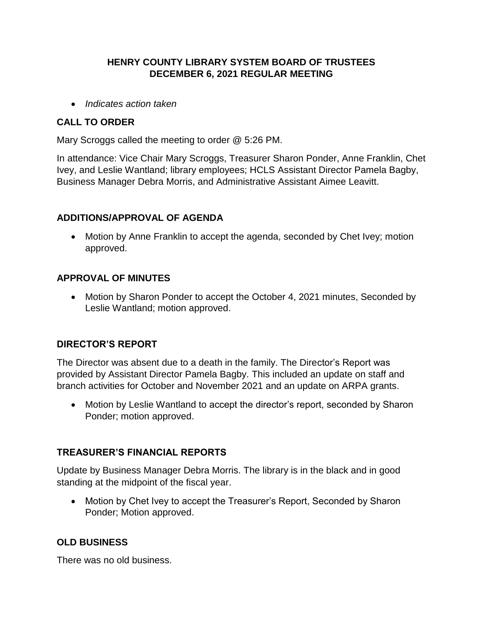# **HENRY COUNTY LIBRARY SYSTEM BOARD OF TRUSTEES DECEMBER 6, 2021 REGULAR MEETING**

*Indicates action taken*

### **CALL TO ORDER**

Mary Scroggs called the meeting to order @ 5:26 PM.

In attendance: Vice Chair Mary Scroggs, Treasurer Sharon Ponder, Anne Franklin, Chet Ivey, and Leslie Wantland; library employees; HCLS Assistant Director Pamela Bagby, Business Manager Debra Morris, and Administrative Assistant Aimee Leavitt.

### **ADDITIONS/APPROVAL OF AGENDA**

• Motion by Anne Franklin to accept the agenda, seconded by Chet Ivey; motion approved.

### **APPROVAL OF MINUTES**

• Motion by Sharon Ponder to accept the October 4, 2021 minutes, Seconded by Leslie Wantland; motion approved.

#### **DIRECTOR'S REPORT**

The Director was absent due to a death in the family. The Director's Report was provided by Assistant Director Pamela Bagby. This included an update on staff and branch activities for October and November 2021 and an update on ARPA grants.

• Motion by Leslie Wantland to accept the director's report, seconded by Sharon Ponder; motion approved.

#### **TREASURER'S FINANCIAL REPORTS**

Update by Business Manager Debra Morris. The library is in the black and in good standing at the midpoint of the fiscal year.

• Motion by Chet Ivey to accept the Treasurer's Report, Seconded by Sharon Ponder; Motion approved.

# **OLD BUSINESS**

There was no old business.